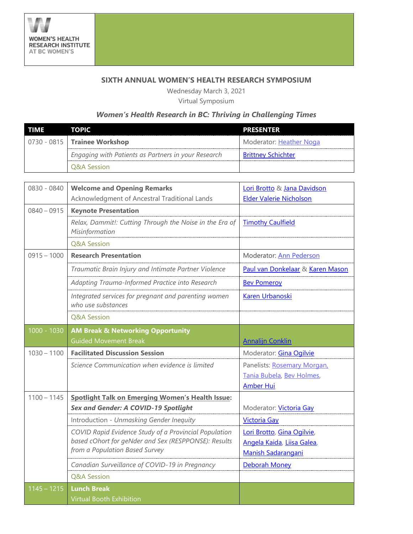

## **SIXTH ANNUAL WOMEN'S HEALTH RESEARCH SYMPOSIUM**

Wednesday March 3, 2021 Virtual Symposium

## *Women's Health Research in BC: Thriving in Challenging Times*

| TIME | TOPIC                                               | PRESENTER                 |
|------|-----------------------------------------------------|---------------------------|
|      | $\vert$ 0730 - 0815 Trainee Workshop                | Moderator: Heather Noga   |
|      | Engaging with Patients as Partners in your Research | <b>Brittney Schichter</b> |
|      | <b>O&amp;A Session</b>                              |                           |

| 0830 - 0840   | <b>Welcome and Opening Remarks</b>                                         | Lori Brotto & Jana Davidson      |
|---------------|----------------------------------------------------------------------------|----------------------------------|
|               | Acknowledgment of Ancestral Traditional Lands                              | <b>Elder Valerie Nicholson</b>   |
| $0840 - 0915$ | <b>Keynote Presentation</b>                                                |                                  |
|               | Relax, Dammit!: Cutting Through the Noise in the Era of<br>Misinformation  | <b>Timothy Caulfield</b>         |
|               | <b>Q&amp;A Session</b>                                                     |                                  |
| $0915 - 1000$ | <b>Research Presentation</b>                                               | Moderator: Ann Pederson          |
|               | Traumatic Brain Injury and Intimate Partner Violence                       | Paul van Donkelaar & Karen Mason |
|               | Adapting Trauma-Informed Practice into Research                            | <b>Bev Pomeroy</b>               |
|               | Integrated services for pregnant and parenting women<br>who use substances | Karen Urbanoski                  |
|               | <b>Q&amp;A Session</b>                                                     |                                  |
| 1000 - 1030   | <b>AM Break &amp; Networking Opportunity</b>                               |                                  |
|               | <b>Guided Movement Break</b>                                               | <b>Annalijn Conklin</b>          |
| $1030 - 1100$ | <b>Facilitated Discussion Session</b>                                      | Moderator: <b>Gina Ogilvie</b>   |
|               | Science Communication when evidence is limited                             | Panelists: Rosemary Morgan,      |
|               |                                                                            | Tania Bubela, Bev Holmes,        |
|               |                                                                            | <b>Amber Hui</b>                 |
| $1100 - 1145$ | <b>Spotlight Talk on Emerging Women's Health Issue:</b>                    |                                  |
|               | <b>Sex and Gender: A COVID-19 Spotlight</b>                                | Moderator: Victoria Gay          |
|               | Introduction - Unmasking Gender Inequity                                   | <b>Victoria Gay</b>              |
|               | COVID Rapid Evidence Study of a Provincial Population                      | Lori Brotto, Gina Ogilvie,       |
|               | based cOhort for geNder and Sex (RESPPONSE): Results                       | Angela Kaida, Liisa Galea,       |
|               | from a Population Based Survey                                             | <b>Manish Sadarangani</b>        |
|               | Canadian Surveillance of COVID-19 in Pregnancy                             | <b>Deborah Money</b>             |
|               | Q&A Session                                                                |                                  |
| $1145 - 1215$ | <b>Lunch Break</b>                                                         |                                  |
|               | <b>Virtual Booth Exhibition</b>                                            |                                  |